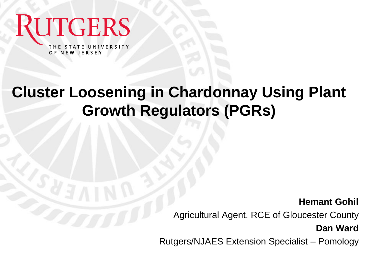

# **Cluster Loosening in Chardonnay Using Plant Growth Regulators (PGRs)**

**Hemant Gohil**

Agricultural Agent, RCE of Gloucester County

**Dan Ward**

Rutgers/NJAES Extension Specialist – Pomology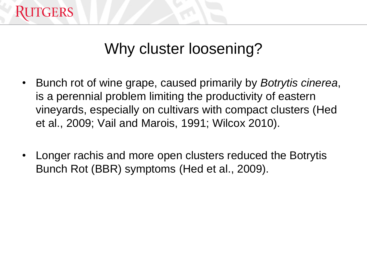

# Why cluster loosening?

- Bunch rot of wine grape, caused primarily by *Botrytis cinerea*, is a perennial problem limiting the productivity of eastern vineyards, especially on cultivars with compact clusters (Hed et al., 2009; Vail and Marois, 1991; Wilcox 2010).
- Longer rachis and more open clusters reduced the Botrytis Bunch Rot (BBR) symptoms (Hed et al., 2009).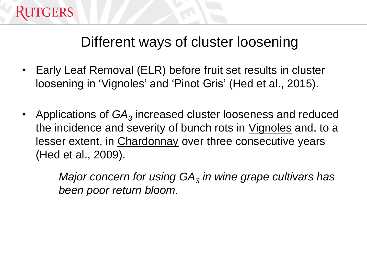

### Different ways of cluster loosening

- Early Leaf Removal (ELR) before fruit set results in cluster loosening in 'Vignoles' and 'Pinot Gris' (Hed et al., 2015).
- Applications of *GA<sup>3</sup>* increased cluster looseness and reduced the incidence and severity of bunch rots in Vignoles and, to a lesser extent, in Chardonnay over three consecutive years (Hed et al., 2009).

*Major concern for using GA<sup>3</sup> in wine grape cultivars has been poor return bloom.*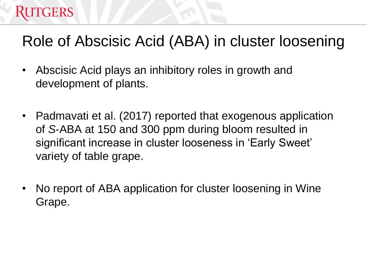# Role of Abscisic Acid (ABA) in cluster loosening

• Abscisic Acid plays an inhibitory roles in growth and development of plants.

**RUTGERS** 

- Padmavati et al. (2017) reported that exogenous application of *S*-ABA at 150 and 300 ppm during bloom resulted in significant increase in cluster looseness in 'Early Sweet' variety of table grape.
- No report of ABA application for cluster loosening in Wine Grape.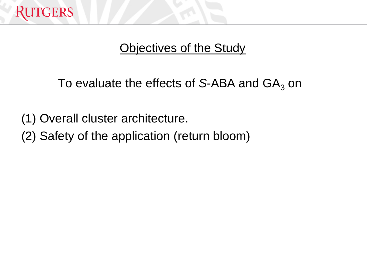

#### **Objectives of the Study**

To evaluate the effects of S-ABA and GA<sub>3</sub> on

- (1) Overall cluster architecture.
- (2) Safety of the application (return bloom)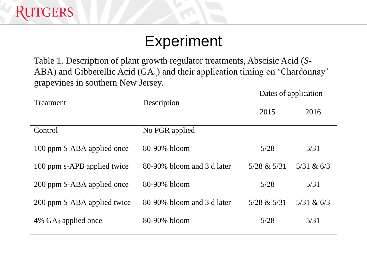# Experiment

Table 1. Description of plant growth regulator treatments, Abscisic Acid (*S*-ABA) and Gibberellic Acid  $(GA_3)$  and their application timing on 'Chardonnay' grapevines in southern New Jersey.

|                                    |                            | Dates of application |            |  |
|------------------------------------|----------------------------|----------------------|------------|--|
| Treatment                          | Description                | 2015                 | 2016       |  |
| Control                            | No PGR applied             |                      |            |  |
| 100 ppm S-ABA applied once         | 80-90% bloom               | 5/28                 | 5/31       |  |
| 100 ppm s-APB applied twice        | 80-90% bloom and 3 d later | 5/28 & 5/31          | 5/31 & 6/3 |  |
| 200 ppm S-ABA applied once         | 80-90% bloom               | 5/28                 | 5/31       |  |
| 200 ppm S-ABA applied twice        | 80-90% bloom and 3 d later | 5/28 & 5/31          | 5/31 & 6/3 |  |
| $4\%$ GA <sub>3</sub> applied once | 80-90% bloom               | 5/28                 | 5/31       |  |
|                                    |                            |                      |            |  |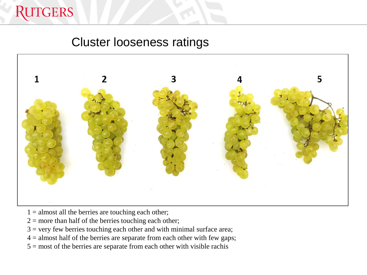#### Cluster looseness ratings



- $1 =$  almost all the berries are touching each other;
- $2 =$  more than half of the berries touching each other;
- $3 =$  very few berries touching each other and with minimal surface area;
- $4 =$  almost half of the berries are separate from each other with few gaps;
- $5 =$  most of the berries are separate from each other with visible rachis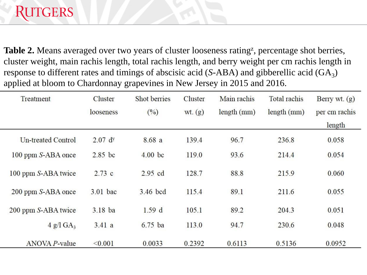### TGERS

Table 2. Means averaged over two years of cluster looseness rating<sup>z</sup>, percentage shot berries, cluster weight, main rachis length, total rachis length, and berry weight per cm rachis length in response to different rates and timings of abscisic acid  $(S-ABA)$  and gibberellic acid  $(GA_3)$ applied at bloom to Chardonnay grapevines in New Jersey in 2015 and 2016.

| Treatment               | Cluster               | Shot berries | Cluster            | Main rachis | Total rachis | Berry wt. $(g)$ |
|-------------------------|-----------------------|--------------|--------------------|-------------|--------------|-----------------|
|                         | looseness             | (%)          | W <sub>t</sub> (g) | length (mm) | length(mm)   | per cm rachis   |
|                         |                       |              |                    |             |              | length          |
| Un-treated Control      | $2.07$ d <sup>y</sup> | 8.68a        | 139.4              | 96.7        | 236.8        | 0.058           |
| 100 ppm S-ABA once      | 2.85 bc               | $4.00$ bc    | 119.0              | 93.6        | 214.4        | 0.054           |
| 100 ppm S-ABA twice     | 2.73c                 | $2.95$ cd    | 128.7              | 88.8        | 215.9        | 0.060           |
| 200 ppm S-ABA once      | 3.01 bac              | 3.46 bcd     | 115.4              | 89.1        | 211.6        | 0.055           |
| 200 ppm S-ABA twice     | 3.18 ba               | 1.59d        | 105.1              | 89.2        | 204.3        | 0.051           |
| $4$ g/l GA <sub>3</sub> | 3.41a                 | $6.75$ ba    | 113.0              | 94.7        | 230.6        | 0.048           |
| <b>ANOVA P-value</b>    | < 0.001               | 0.0033       | 0.2392             | 0.6113      | 0.5136       | 0.0952          |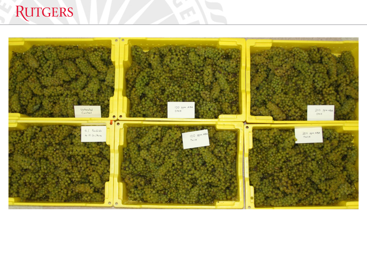# RUTGERS

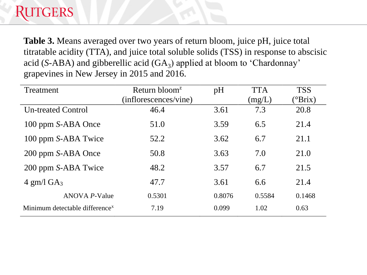### **TGERS**

**Table 3.** Means averaged over two years of return bloom, juice pH, juice total titratable acidity (TTA), and juice total soluble solids (TSS) in response to abscisic acid (S-ABA) and gibberellic acid (GA<sub>3</sub>) applied at bloom to 'Chardonnay' grapevines in New Jersey in 2015 and 2016.

| Treatment                                  | Return $bloomz$       | pH     | <b>TTA</b> | <b>TSS</b>      |
|--------------------------------------------|-----------------------|--------|------------|-----------------|
|                                            | (inflorescences/vine) |        | (mg/L)     | $^{\circ}Brix)$ |
| <b>Un-treated Control</b>                  | 46.4                  | 3.61   | 7.3        | 20.8            |
| 100 ppm S-ABA Once                         | 51.0                  | 3.59   | 6.5        | 21.4            |
| 100 ppm S-ABA Twice                        | 52.2                  | 3.62   | 6.7        | 21.1            |
| 200 ppm S-ABA Once                         | 50.8                  | 3.63   | 7.0        | 21.0            |
| 200 ppm S-ABA Twice                        | 48.2                  | 3.57   | 6.7        | 21.5            |
| $4 \text{ gm}/1 \text{ GA}_3$              | 47.7                  | 3.61   | 6.6        | 21.4            |
| <b>ANOVA P-Value</b>                       | 0.5301                | 0.8076 | 0.5584     | 0.1468          |
| Minimum detectable difference <sup>x</sup> | 7.19                  | 0.099  | 1.02       | 0.63            |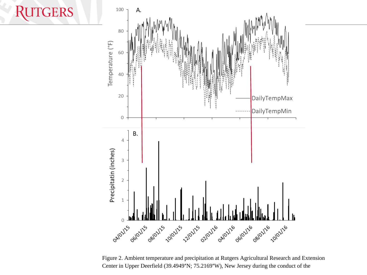

3 Figure 2. Ambient temperature and precipitation at Rutgers Agricultural Research and Extension Center in Upper Deerfield (39.4949°N; 75.2169°W), New Jersey during the conduct of the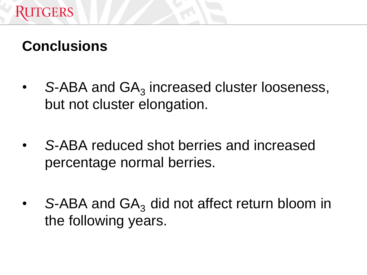

### **Conclusions**

- S-ABA and GA<sub>3</sub> increased cluster looseness, but not cluster elongation.
- *S*-ABA reduced shot berries and increased percentage normal berries.
- S-ABA and GA<sub>3</sub> did not affect return bloom in the following years.